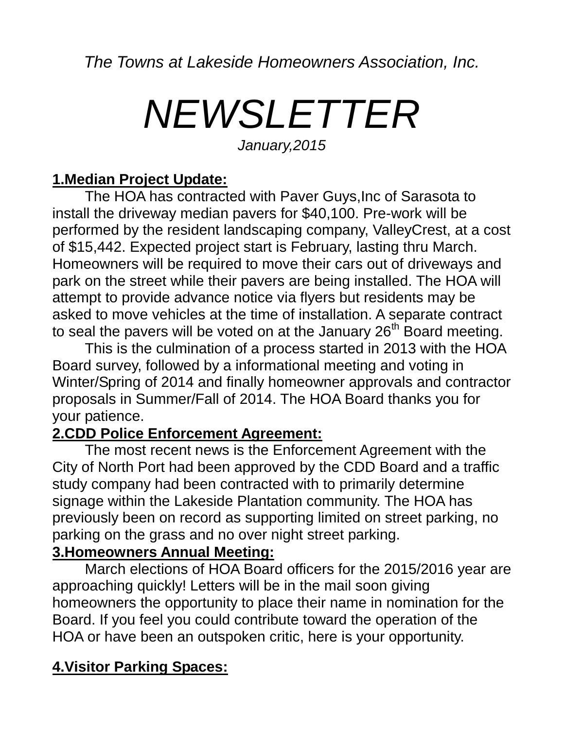*The Towns at Lakeside Homeowners Association, Inc.*

# *NEWSLETTER*

*January,2015*

#### **1.Median Project Update:**

The HOA has contracted with Paver Guys,Inc of Sarasota to install the driveway median pavers for \$40,100. Pre-work will be performed by the resident landscaping company, ValleyCrest, at a cost of \$15,442. Expected project start is February, lasting thru March. Homeowners will be required to move their cars out of driveways and park on the street while their pavers are being installed. The HOA will attempt to provide advance notice via flyers but residents may be asked to move vehicles at the time of installation. A separate contract to seal the pavers will be voted on at the January  $26<sup>th</sup>$  Board meeting.

This is the culmination of a process started in 2013 with the HOA Board survey, followed by a informational meeting and voting in Winter/Spring of 2014 and finally homeowner approvals and contractor proposals in Summer/Fall of 2014. The HOA Board thanks you for your patience.

#### **2.CDD Police Enforcement Agreement:**

The most recent news is the Enforcement Agreement with the City of North Port had been approved by the CDD Board and a traffic study company had been contracted with to primarily determine signage within the Lakeside Plantation community. The HOA has previously been on record as supporting limited on street parking, no parking on the grass and no over night street parking.

### **3.Homeowners Annual Meeting:**

March elections of HOA Board officers for the 2015/2016 year are approaching quickly! Letters will be in the mail soon giving homeowners the opportunity to place their name in nomination for the Board. If you feel you could contribute toward the operation of the HOA or have been an outspoken critic, here is your opportunity.

### **4.Visitor Parking Spaces:**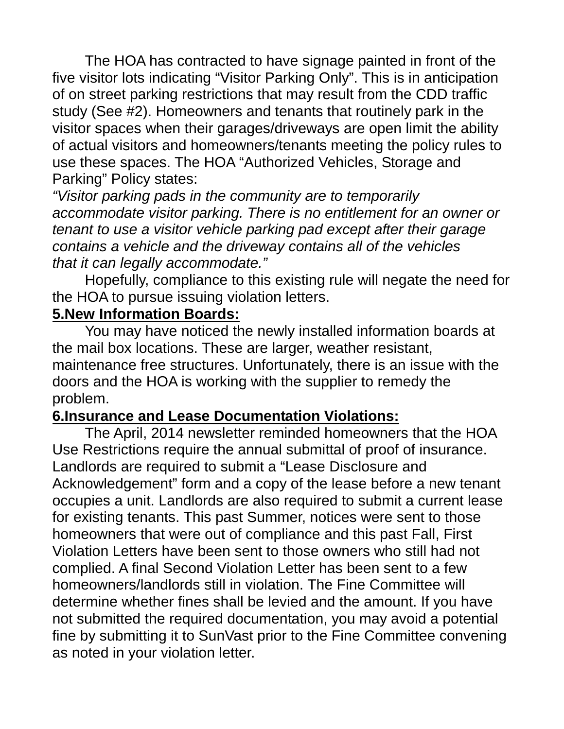The HOA has contracted to have signage painted in front of the five visitor lots indicating "Visitor Parking Only". This is in anticipation of on street parking restrictions that may result from the CDD traffic study (See #2). Homeowners and tenants that routinely park in the visitor spaces when their garages/driveways are open limit the ability of actual visitors and homeowners/tenants meeting the policy rules to use these spaces. The HOA "Authorized Vehicles, Storage and Parking" Policy states:

*"Visitor parking pads in the community are to temporarily accommodate visitor parking. There is no entitlement for an owner or tenant to use a visitor vehicle parking pad except after their garage contains a vehicle and the driveway contains all of the vehicles that it can legally accommodate."*

Hopefully, compliance to this existing rule will negate the need for the HOA to pursue issuing violation letters.

### **5.New Information Boards:**

You may have noticed the newly installed information boards at the mail box locations. These are larger, weather resistant, maintenance free structures. Unfortunately, there is an issue with the doors and the HOA is working with the supplier to remedy the problem.

### **6.Insurance and Lease Documentation Violations:**

The April, 2014 newsletter reminded homeowners that the HOA Use Restrictions require the annual submittal of proof of insurance. Landlords are required to submit a "Lease Disclosure and Acknowledgement" form and a copy of the lease before a new tenant occupies a unit. Landlords are also required to submit a current lease for existing tenants. This past Summer, notices were sent to those homeowners that were out of compliance and this past Fall, First Violation Letters have been sent to those owners who still had not complied. A final Second Violation Letter has been sent to a few homeowners/landlords still in violation. The Fine Committee will determine whether fines shall be levied and the amount. If you have not submitted the required documentation, you may avoid a potential fine by submitting it to SunVast prior to the Fine Committee convening as noted in your violation letter.